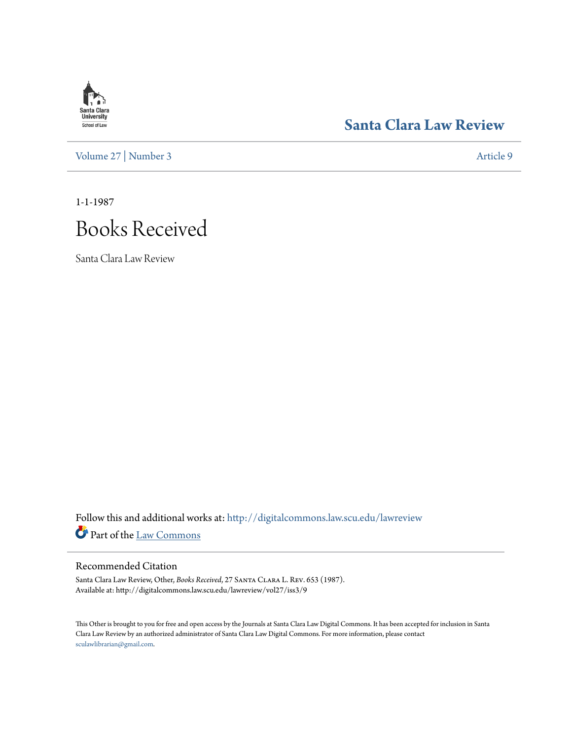# **Santa Clara**<br>**University** School of Law

[Volume 27](http://digitalcommons.law.scu.edu/lawreview/vol27?utm_source=digitalcommons.law.scu.edu%2Flawreview%2Fvol27%2Fiss3%2F9&utm_medium=PDF&utm_campaign=PDFCoverPages) | [Number 3](http://digitalcommons.law.scu.edu/lawreview/vol27/iss3?utm_source=digitalcommons.law.scu.edu%2Flawreview%2Fvol27%2Fiss3%2F9&utm_medium=PDF&utm_campaign=PDFCoverPages) [Article 9](http://digitalcommons.law.scu.edu/lawreview/vol27/iss3/9?utm_source=digitalcommons.law.scu.edu%2Flawreview%2Fvol27%2Fiss3%2F9&utm_medium=PDF&utm_campaign=PDFCoverPages)

### **[Santa Clara Law Review](http://digitalcommons.law.scu.edu/lawreview?utm_source=digitalcommons.law.scu.edu%2Flawreview%2Fvol27%2Fiss3%2F9&utm_medium=PDF&utm_campaign=PDFCoverPages)**

1-1-1987

## Books Received

Santa Clara Law Review

Follow this and additional works at: [http://digitalcommons.law.scu.edu/lawreview](http://digitalcommons.law.scu.edu/lawreview?utm_source=digitalcommons.law.scu.edu%2Flawreview%2Fvol27%2Fiss3%2F9&utm_medium=PDF&utm_campaign=PDFCoverPages) Part of the [Law Commons](http://network.bepress.com/hgg/discipline/578?utm_source=digitalcommons.law.scu.edu%2Flawreview%2Fvol27%2Fiss3%2F9&utm_medium=PDF&utm_campaign=PDFCoverPages)

### Recommended Citation

Santa Clara Law Review, Other, *Books Received*, 27 Santa Clara L. Rev. 653 (1987). Available at: http://digitalcommons.law.scu.edu/lawreview/vol27/iss3/9

This Other is brought to you for free and open access by the Journals at Santa Clara Law Digital Commons. It has been accepted for inclusion in Santa Clara Law Review by an authorized administrator of Santa Clara Law Digital Commons. For more information, please contact [sculawlibrarian@gmail.com](mailto:sculawlibrarian@gmail.com).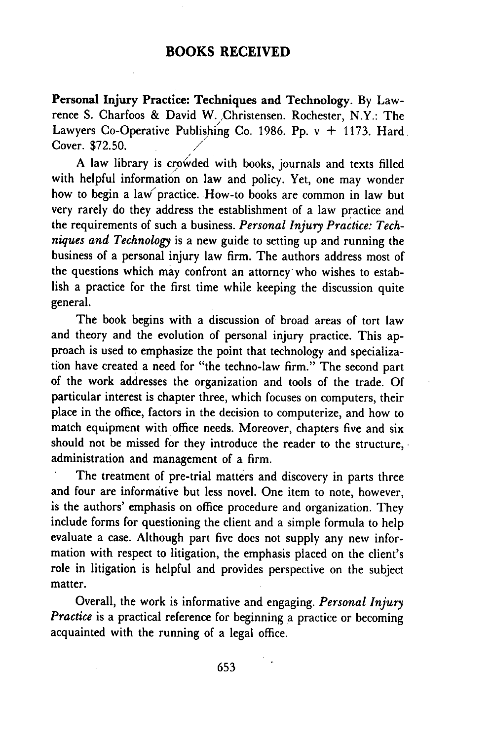#### **BOOKS RECEIVED**

**Personal Injury Practice: Techniques and Technology.** By Lawrence S. Charfoos & David W. ,Christensen. Rochester, N.Y.: The Lawyers Co-Operative Publishing Co. 1986. Pp. v **+** 1173. Hard Cover. \$72.50. */*

**A** law library is crowded with books, journals and texts filled with helpful information on law and policy. Yet, one may wonder how to begin a law'practice. How-to books are common in law but very rarely do they address the establishment of a law practice and the requirements of such a business. *Personal Injury Practice: Techniques and Technology* is a new guide to setting up and running the business of a personal injury law firm. The authors address most of the questions which may confront an attorney who wishes to establish a practice for the first time while keeping the discussion quite general.

The book begins with a discussion of broad areas of tort law and theory and the evolution of personal injury practice. This approach is used to emphasize the point that technology and specialization have created a need for "the techno-law firm." The second part of the work addresses the organization and tools of the trade. Of particular interest is chapter three, which focuses on computers, their place in the office, factors in the decision to computerize, and how to match equipment with office needs. Moreover, chapters five and six should not be missed for they introduce the reader to the structure, administration and management of a firm.

The treatment of pre-trial matters and discovery in parts three and four are informative but less novel. One item to note, however, is the authors' emphasis on office procedure and organization. They include forms for questioning the client and a simple formula to help evaluate a case. Although part five does not supply any new information with respect to litigation, the emphasis placed on the client's role in litigation is helpful and provides perspective on the subject matter.

Overall, the work is informative and engaging. *Personal Injury Practice* is a practical reference for beginning a practice or becoming acquainted with the running of a legal office.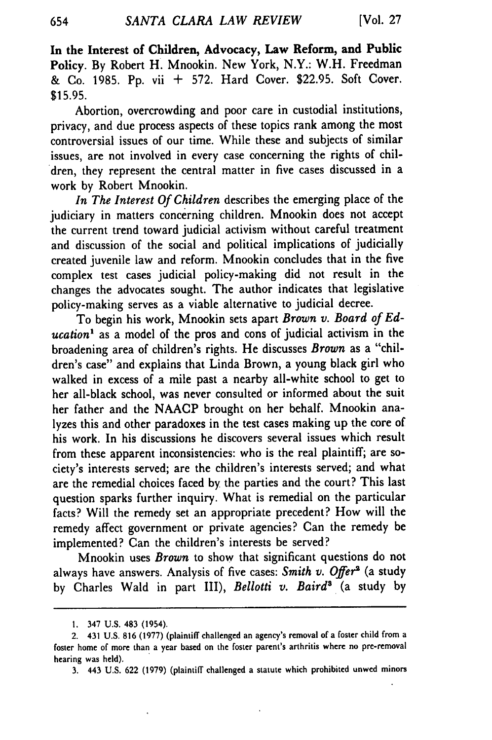In the Interest of Children, Advocacy, Law Reform, and Public Policy. **By** Robert H. Mnookin. New York, N.Y.: W.H. Freedman & Co. **1985. Pp.** vii + **572.** Hard Cover. **\$22.95.** Soft Cover. \$15.95.

Abortion, overcrowding and poor care in custodial institutions, privacy, and due process aspects of these topics rank among the most controversial issues of our time. While these and subjects of similar issues, are not involved in every case concerning the rights of children, they represent the central matter in five cases discussed in a work by Robert Mnookin.

*In The Interest Of Children* describes the emerging place of the judiciary in matters concerning children. Mnookin does not accept the current trend toward judicial activism without careful treatment and discussion of the social and political implications of judicially created juvenile law and reform. Mnookin concludes that in the five complex test cases judicial policy-making did not result in the changes the advocates sought. The author indicates that legislative policy-making serves as a viable alternative to judicial decree.

To begin his work, Mnookin sets apart *Brown v. Board of Education'* as a model of the pros and cons of judicial activism in the broadening area of children's rights. He discusses *Brown* as a "children's case" and explains that Linda Brown, a young black girl who walked in excess of a mile past a nearby all-white school to get to her all-black school, was never consulted or informed about the suit her father and the NAACP brought on her behalf. Mnookin analyzes this and other paradoxes in the test cases making up the core of his work. In his discussions he discovers several issues which result from these apparent inconsistencies: who is the real plaintiff; are society's interests served; are the children's interests served; and what are the remedial choices faced by the parties and the court? This last question sparks further inquiry. What is remedial on the particular facts? Will the remedy set an appropriate precedent? How will the remedy affect government or private agencies? Can the remedy be implemented? Can the children's interests be served?

Mnookin uses *Brown* to show that significant questions do not always have answers. Analysis of five cases: Smith v. Offer<sup>2</sup> (a study by Charles Wald in part III), *Bellotti v. Baird'* (a study by

654

**<sup>1.</sup>** 347 U.S. 483 (1954).

<sup>2. 431</sup> U.S. **816** (1977) (plaintiff challenged an agency's removal of a foster child from a foster home of more than a year based on the foster parent's arthritis where no pre-removal hearing was held).

**<sup>3.</sup>** 443 U.S. 622 (1979) (plaintiff challenged a statute which prohibited unwed minors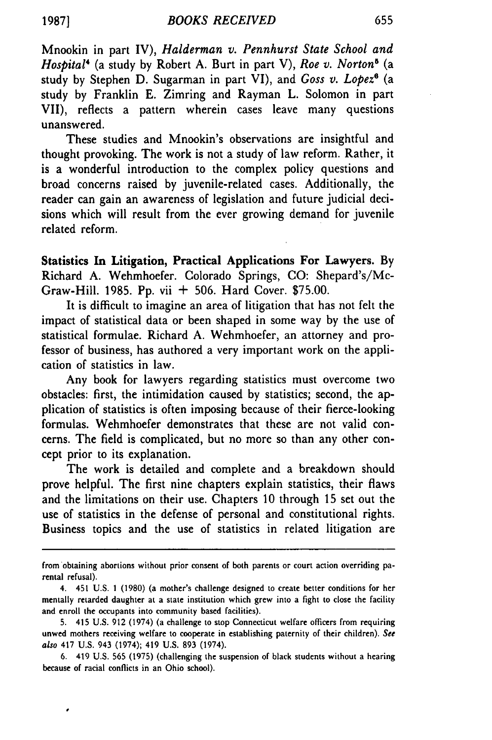Mnookin in part IV), *Halderman v. Pennhurst State School and Hospital4* (a study by Robert A. Burt in part V), *Roe v. Norton6* (a study by Stephen D. Sugarman in part VI), and *Goss v. Lopez6* (a study by Franklin E. Zimring and Rayman L. Solomon in part VII), reflects a pattern wherein cases leave many questions unanswered.

These studies and Mnookin's observations are insightful and thought provoking. The work is not a study of law reform. Rather, it is a wonderful introduction to the complex policy questions and broad concerns raised by juvenile-related cases. Additionally, the reader can gain an awareness of legislation and future judicial decisions which will result from the ever growing demand for juvenile related reform.

Statistics In Litigation, **Practical Applications For Lawyers. By** Richard A. Wehmhoefer. Colorado Springs, **CO:** Shepard's/Mc-Graw-Hill. 1985. Pp. vii + 506. Hard Cover. \$75.00.

It is difficult to imagine an area of litigation that has not felt the impact of statistical data or been shaped in some way by the use of statistical formulae. Richard A. Wehmhoefer, an attorney and professor of business, has authored a very important work on the application of statistics in law.

Any book for lawyers regarding statistics must overcome two obstacles: first, the intimidation caused by statistics; second, the application of statistics is often imposing because of their fierce-looking formulas. Wehmhoefer demonstrates that these are not valid concerns. The field is complicated, but no more so than any other concept prior to its explanation.

The work is detailed and complete and a breakdown should prove helpful. The first nine chapters explain statistics, their flaws and the limitations on their use. Chapters 10 through 15 set out the use of statistics in the defense of personal and constitutional rights. Business topics and the use of statistics in related litigation are

from obtaining abortions without prior consent of both parents or court action overriding parental refusal).

<sup>4. 451</sup> **U.S. 1 (1980)** (a mother's challenge designed to create better conditions for her mentally retarded daughter at a state institution which grew into a fight to close the facility and enroll the occupants into community based facilities).

**<sup>5.</sup>** 415 **U.S. 912** (1974) (a challenge to stop Connecticut welfare officers from requiring unwed mothers receiving welfare to cooperate in establishing paternity of their children). See also 417 **U.S.** 943 (1974); 419 **U.S. 893** (1974).

**<sup>6.</sup>** 419 **U.S. 565 (1975)** (challenging the suspension of black students without a hearing because of racial conflicts in an Ohio school).